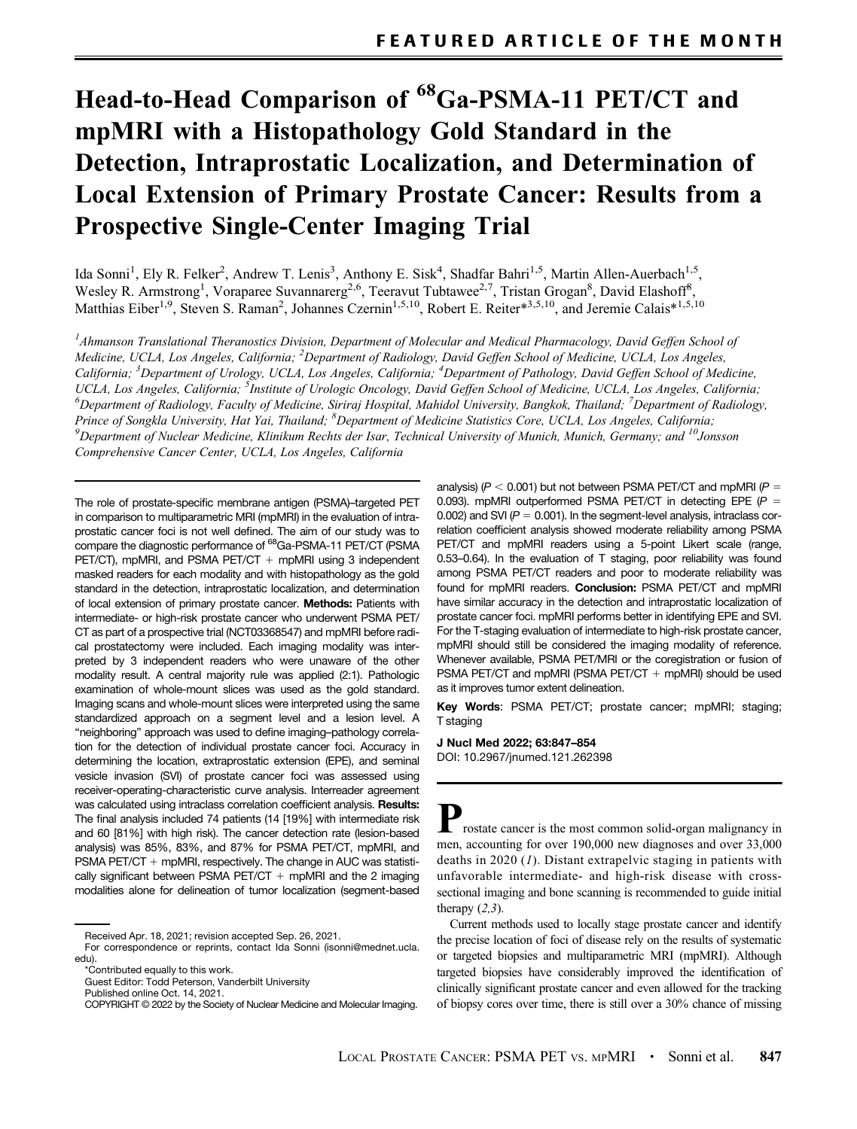# Head-to-Head Comparison of <sup>68</sup>Ga-PSMA-11 PET/CT and mpMRI with a Histopathology Gold Standard in the Detection, Intraprostatic Localization, and Determination of Local Extension of Primary Prostate Cancer: Results from a Prospective Single-Center Imaging Trial

Ida Sonni<sup>1</sup>, Ely R. Felker<sup>2</sup>, Andrew T. Lenis<sup>3</sup>, Anthony E. Sisk<sup>4</sup>, Shadfar Bahri<sup>1,5</sup>, Martin Allen-Auerbach<sup>1,5</sup>, Wesley R. Armstrong<sup>1</sup>, Voraparee Suvannarerg<sup>2,6</sup>, Teeravut Tubtawee<sup>2,7</sup>, Tristan Grogan<sup>8</sup>, David Elashoff<sup>8</sup>, Matthias Eiber<sup>1,9</sup>, Steven S. Raman<sup>2</sup>, Johannes Czernin<sup>1,5,10</sup>, Robert E. Reiter\*<sup>3,5,10</sup>, and Jeremie Calais\*<sup>1,5,10</sup>

 $^I$ Ahmanson Translational Theranostics Division, Department of Molecular and Medical Pharmacology, David Geffen School of Medicine, UCLA, Los Angeles, California; <sup>2</sup>Department of Radiology, David Geffen School of Medicine, UCLA, Los Angeles, California; <sup>3</sup>Department of Urology, UCLA, Los Angeles, California; <sup>4</sup>Department of Pathology, David Geffen School of Medicine, UCLA, Los Angeles, California; <sup>5</sup>Institute of Urologic Oncology, David Geffen School of Medicine, UCLA, Los Angeles, California;<br><sup>6</sup>Department of Radiology, Eaculty of Medicine, Sirirai Hospital, Mahidol University, Rangk Department of Radiology, Faculty of Medicine, Siriraj Hospital, Mahidol University, Bangkok, Thailand; <sup>7</sup>Department of Radiology, Prince of Songkla University, Hat Yai, Thailand; <sup>8</sup>Department of Medicine Statistics Core, UCLA, Los Angeles, California;<br><sup>9</sup>Department of Nuclear Medicine, Klinikum Bechts der Isar, Technical University of Munich, Munich  $^9$ Department of Nuclear Medicine, Klinikum Rechts der Isar, Technical University of Munich, Munich, Germany; and  $^{10}$ Jonsson Comprehensive Cancer Center, UCLA, Los Angeles, California

The role of prostate-specific membrane antigen (PSMA)–targeted PET in comparison to multiparametric MRI (mpMRI) in the evaluation of intraprostatic cancer foci is not well defined. The aim of our study was to compare the diagnostic performance of 68Ga-PSMA-11 PET/CT (PSMA PET/CT), mpMRI, and PSMA PET/CT  $+$  mpMRI using 3 independent masked readers for each modality and with histopathology as the gold standard in the detection, intraprostatic localization, and determination of local extension of primary prostate cancer. Methods: Patients with intermediate- or high-risk prostate cancer who underwent PSMA PET/ CT as part of a prospective trial (NCT03368547) and mpMRI before radical prostatectomy were included. Each imaging modality was interpreted by 3 independent readers who were unaware of the other modality result. A central majority rule was applied (2:1). Pathologic examination of whole-mount slices was used as the gold standard. Imaging scans and whole-mount slices were interpreted using the same standardized approach on a segment level and a lesion level. A "neighboring" approach was used to define imaging–pathology correlation for the detection of individual prostate cancer foci. Accuracy in determining the location, extraprostatic extension (EPE), and seminal vesicle invasion (SVI) of prostate cancer foci was assessed using receiver-operating-characteristic curve analysis. Interreader agreement was calculated using intraclass correlation coefficient analysis. Results: The final analysis included 74 patients (14 [19%] with intermediate risk and 60 [81%] with high risk). The cancer detection rate (lesion-based analysis) was 85%, 83%, and 87% for PSMA PET/CT, mpMRI, and PSMA PET/CT  $+$  mpMRI, respectively. The change in AUC was statistically significant between PSMA PET/CT  $+$  mpMRI and the 2 imaging modalities alone for delineation of tumor localization (segment-based

\*Contributed equally to this work.

Published online Oct. 14, 2021.

analysis) ( $P < 0.001$ ) but not between PSMA PET/CT and mpMRI ( $P =$ 0.093). mpMRI outperformed PSMA PET/CT in detecting EPE  $(P =$ 0.002) and SVI ( $P = 0.001$ ). In the segment-level analysis, intraclass correlation coefficient analysis showed moderate reliability among PSMA PET/CT and mpMRI readers using a 5-point Likert scale (range, 0.53–0.64). In the evaluation of T staging, poor reliability was found among PSMA PET/CT readers and poor to moderate reliability was found for mpMRI readers. **Conclusion:** PSMA PET/CT and mpMRI have similar accuracy in the detection and intraprostatic localization of prostate cancer foci. mpMRI performs better in identifying EPE and SVI. For the T-staging evaluation of intermediate to high-risk prostate cancer, mpMRI should still be considered the imaging modality of reference. Whenever available, PSMA PET/MRI or the coregistration or fusion of PSMA PET/CT and mpMRI (PSMA PET/CT  $+$  mpMRI) should be used as it improves tumor extent delineation.

Key Words: PSMA PET/CT; prostate cancer; mpMRI; staging; T staging

J Nucl Med 2022; 63:847–854 DOI: [10.2967/jnumed.121.262398](https://doi.org/10.2967/jnumed.121.262398)

 $\Box$  rostate cancer is the most common solid-organ malignancy in men, accounting for over 190,000 new diagnoses and over 33,000 deaths in 2020 ([1](#page-6-0)). Distant extrapelvic staging in patients with unfavorable intermediate- and high-risk disease with crosssectional imaging and bone scanning is recommended to guide initial therapy  $(2,3)$  $(2,3)$  $(2,3)$ .

Current methods used to locally stage prostate cancer and identify the precise location of foci of disease rely on the results of systematic or targeted biopsies and multiparametric MRI (mpMRI). Although targeted biopsies have considerably improved the identification of clinically significant prostate cancer and even allowed for the tracking of biopsy cores over time, there is still over a 30% chance of missing

Received Apr. 18, 2021; revision accepted Sep. 26, 2021.

For correspondence or reprints, contact Ida Sonni ([isonni@mednet.ucla.](mailto:isonni@mednet.ucla.edu) [edu\)](mailto:isonni@mednet.ucla.edu).

Guest Editor: Todd Peterson, Vanderbilt University

COPYRIGHT © 2022 by the Society of Nuclear Medicine and Molecular Imaging.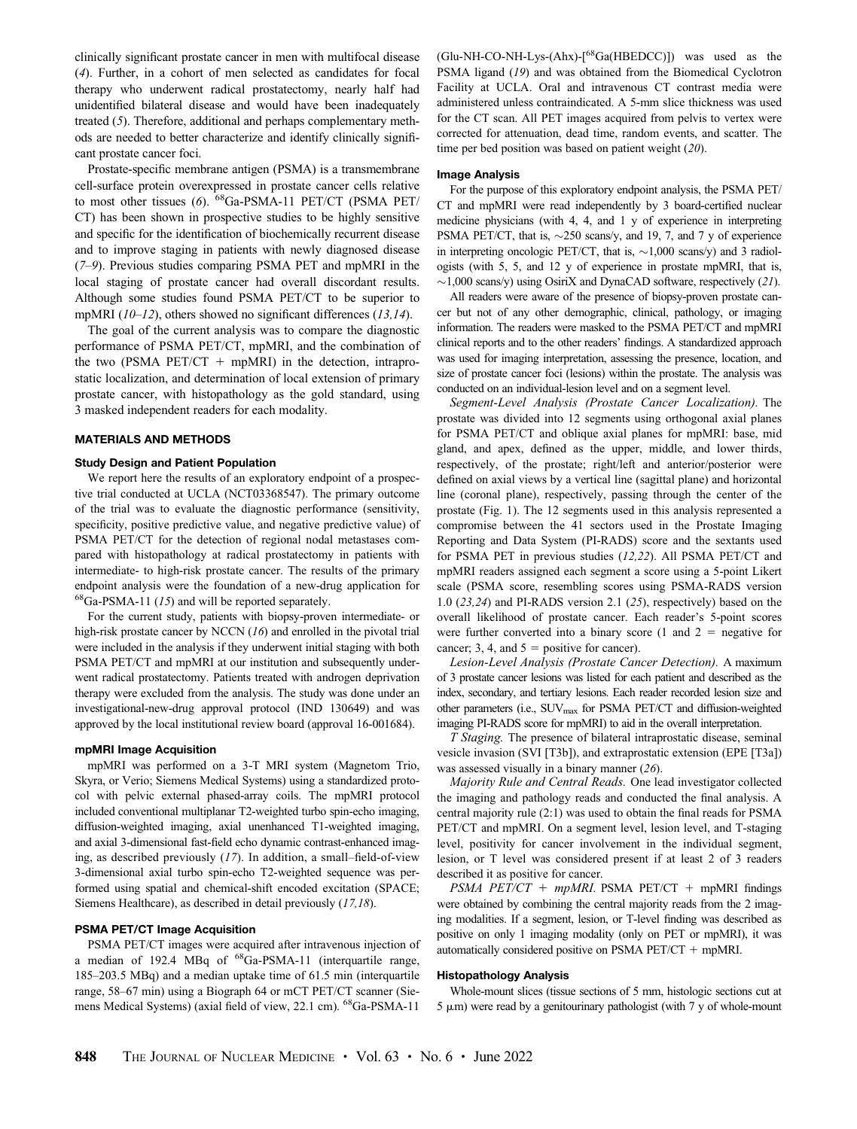clinically significant prostate cancer in men with multifocal disease ([4](#page-6-0)). Further, in a cohort of men selected as candidates for focal therapy who underwent radical prostatectomy, nearly half had unidentified bilateral disease and would have been inadequately treated ([5](#page-6-0)). Therefore, additional and perhaps complementary methods are needed to better characterize and identify clinically significant prostate cancer foci.

Prostate-specific membrane antigen (PSMA) is a transmembrane cell-surface protein overexpressed in prostate cancer cells relative to most other tissues ([6](#page-6-0)). <sup>68</sup>Ga-PSMA-11 PET/CT (PSMA PET/ CT) has been shown in prospective studies to be highly sensitive and specific for the identification of biochemically recurrent disease and to improve staging in patients with newly diagnosed disease ([7](#page-6-0)[–](#page-6-0)[9](#page-6-0)). Previous studies comparing PSMA PET and mpMRI in the local staging of prostate cancer had overall discordant results. Although some studies found PSMA PET/CT to be superior to mpMRI  $(10-12)$  $(10-12)$  $(10-12)$  $(10-12)$  $(10-12)$ , others showed no significant differences  $(13,14)$  $(13,14)$  $(13,14)$ .

The goal of the current analysis was to compare the diagnostic performance of PSMA PET/CT, mpMRI, and the combination of the two (PSMA PET/CT  $+$  mpMRI) in the detection, intraprostatic localization, and determination of local extension of primary prostate cancer, with histopathology as the gold standard, using 3 masked independent readers for each modality.

## MATERIALS AND METHODS

## Study Design and Patient Population

We report here the results of an exploratory endpoint of a prospective trial conducted at UCLA (NCT03368547). The primary outcome of the trial was to evaluate the diagnostic performance (sensitivity, specificity, positive predictive value, and negative predictive value) of PSMA PET/CT for the detection of regional nodal metastases compared with histopathology at radical prostatectomy in patients with intermediate- to high-risk prostate cancer. The results of the primary endpoint analysis were the foundation of a new-drug application for  $^{68}Ga-PSMA-11$  ([15](#page-6-0)) and will be reported separately.

For the current study, patients with biopsy-proven intermediate- or high-risk prostate cancer by NCCN ([16](#page-6-0)) and enrolled in the pivotal trial were included in the analysis if they underwent initial staging with both PSMA PET/CT and mpMRI at our institution and subsequently underwent radical prostatectomy. Patients treated with androgen deprivation therapy were excluded from the analysis. The study was done under an investigational-new-drug approval protocol (IND 130649) and was approved by the local institutional review board (approval 16-001684).

## mpMRI Image Acquisition

mpMRI was performed on a 3-T MRI system (Magnetom Trio, Skyra, or Verio; Siemens Medical Systems) using a standardized protocol with pelvic external phased-array coils. The mpMRI protocol included conventional multiplanar T2-weighted turbo spin-echo imaging, diffusion-weighted imaging, axial unenhanced T1-weighted imaging, and axial 3-dimensional fast-field echo dynamic contrast-enhanced imaging, as described previously ([17](#page-6-0)). In addition, a small–field-of-view 3-dimensional axial turbo spin-echo T2-weighted sequence was performed using spatial and chemical-shift encoded excitation (SPACE; Siemens Healthcare), as described in detail previously ([17,18](#page-6-0)).

## PSMA PET/CT Image Acquisition

PSMA PET/CT images were acquired after intravenous injection of a median of 192.4 MBq of 68Ga-PSMA-11 (interquartile range, 185–203.5 MBq) and a median uptake time of 61.5 min (interquartile range, 58–67 min) using a Biograph 64 or mCT PET/CT scanner (Siemens Medical Systems) (axial field of view, 22.1 cm). 68Ga-PSMA-11

 $(Glu-NH-CO-NH-Lys-(Ahx)-[<sup>68</sup>Ga(HBEDCC)])$  was used as the PSMA ligand ([19](#page-6-0)) and was obtained from the Biomedical Cyclotron Facility at UCLA. Oral and intravenous CT contrast media were administered unless contraindicated. A 5-mm slice thickness was used for the CT scan. All PET images acquired from pelvis to vertex were corrected for attenuation, dead time, random events, and scatter. The time per bed position was based on patient weight  $(20)$  $(20)$  $(20)$ .

## Image Analysis

For the purpose of this exploratory endpoint analysis, the PSMA PET/ CT and mpMRI were read independently by 3 board-certified nuclear medicine physicians (with 4, 4, and 1 y of experience in interpreting PSMA PET/CT, that is,  $\sim$ 250 scans/y, and 19, 7, and 7 y of experience in interpreting oncologic PET/CT, that is,  $\sim$ 1,000 scans/y) and 3 radiologists (with 5, 5, and 12 y of experience in prostate mpMRI, that is,  $\sim$ 1,000 scans/y) using OsiriX and DynaCAD software, respectively ([21](#page-6-0)).

All readers were aware of the presence of biopsy-proven prostate cancer but not of any other demographic, clinical, pathology, or imaging information. The readers were masked to the PSMA PET/CT and mpMRI clinical reports and to the other readers' findings. A standardized approach was used for imaging interpretation, assessing the presence, location, and size of prostate cancer foci (lesions) within the prostate. The analysis was conducted on an individual-lesion level and on a segment level.

Segment-Level Analysis (Prostate Cancer Localization). The prostate was divided into 12 segments using orthogonal axial planes for PSMA PET/CT and oblique axial planes for mpMRI: base, mid gland, and apex, defined as the upper, middle, and lower thirds, respectively, of the prostate; right/left and anterior/posterior were defined on axial views by a vertical line (sagittal plane) and horizontal line (coronal plane), respectively, passing through the center of the prostate [\(Fig. 1](#page-2-0)). The 12 segments used in this analysis represented a compromise between the 41 sectors used in the Prostate Imaging Reporting and Data System (PI-RADS) score and the sextants used for PSMA PET in previous studies ([12,22](#page-6-0)). All PSMA PET/CT and mpMRI readers assigned each segment a score using a 5-point Likert scale (PSMA score, resembling scores using PSMA-RADS version 1.0 ([23,24](#page-6-0)) and PI-RADS version 2.1 ([25](#page-6-0)), respectively) based on the overall likelihood of prostate cancer. Each reader's 5-point scores were further converted into a binary score  $(1 \text{ and } 2 = \text{negative for})$ cancer; 3, 4, and  $5 =$  positive for cancer).

Lesion-Level Analysis (Prostate Cancer Detection). A maximum of 3 prostate cancer lesions was listed for each patient and described as the index, secondary, and tertiary lesions. Each reader recorded lesion size and other parameters (i.e., SUV<sub>max</sub> for PSMA PET/CT and diffusion-weighted imaging PI-RADS score for mpMRI) to aid in the overall interpretation.

T Staging. The presence of bilateral intraprostatic disease, seminal vesicle invasion (SVI [T3b]), and extraprostatic extension (EPE [T3a]) was assessed visually in a binary manner ([26](#page-6-0)).

Majority Rule and Central Reads. One lead investigator collected the imaging and pathology reads and conducted the final analysis. A central majority rule (2:1) was used to obtain the final reads for PSMA PET/CT and mpMRI. On a segment level, lesion level, and T-staging level, positivity for cancer involvement in the individual segment, lesion, or T level was considered present if at least 2 of 3 readers described it as positive for cancer.

PSMA PET/CT +  $mpMRI$ . PSMA PET/CT +  $mpMRI$  findings were obtained by combining the central majority reads from the 2 imaging modalities. If a segment, lesion, or T-level finding was described as positive on only 1 imaging modality (only on PET or mpMRI), it was automatically considered positive on PSMA PET/CT  $+$  mpMRI.

## Histopathology Analysis

Whole-mount slices (tissue sections of 5 mm, histologic sections cut at  $5 \mu m$ ) were read by a genitourinary pathologist (with  $7 \text{ y of whole-mount}$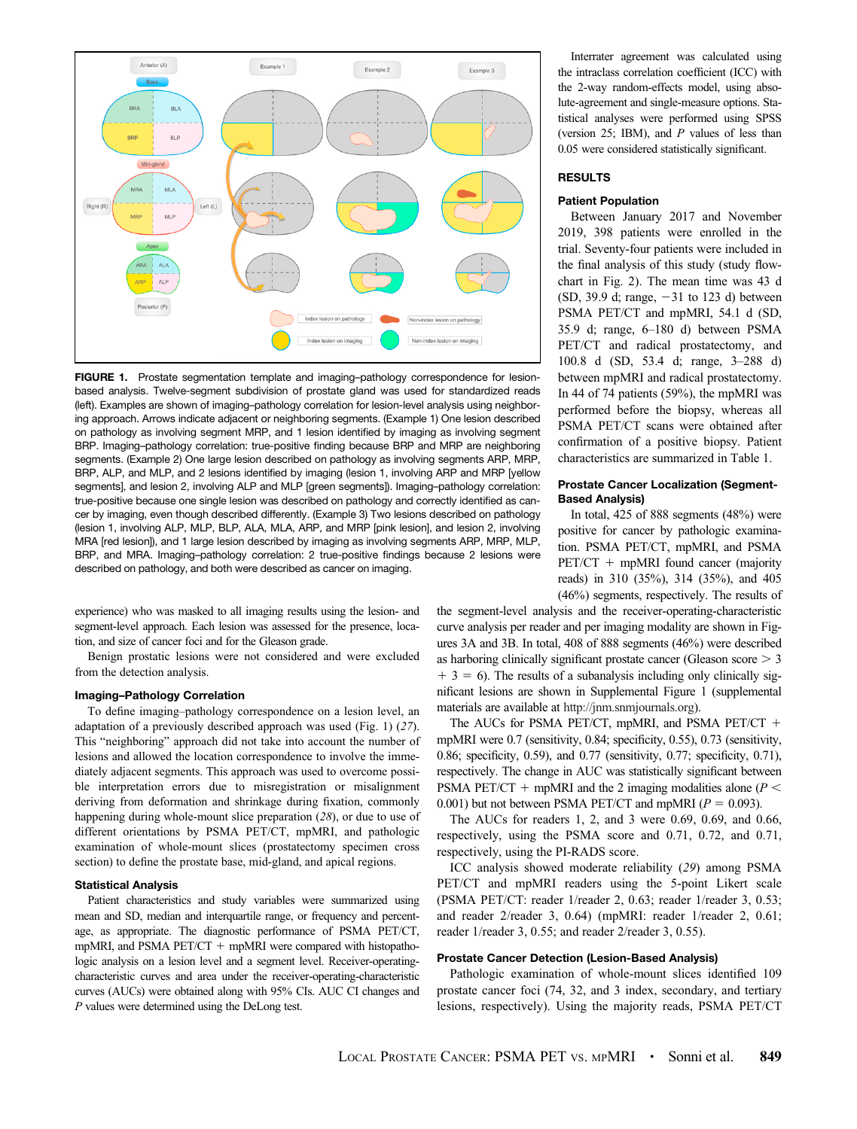<span id="page-2-0"></span>

FIGURE 1. Prostate segmentation template and imaging-pathology correspondence for lesionbased analysis. Twelve-segment subdivision of prostate gland was used for standardized reads (left). Examples are shown of imaging–pathology correlation for lesion-level analysis using neighboring approach. Arrows indicate adjacent or neighboring segments. (Example 1) One lesion described on pathology as involving segment MRP, and 1 lesion identified by imaging as involving segment BRP. Imaging–pathology correlation: true-positive finding because BRP and MRP are neighboring segments. (Example 2) One large lesion described on pathology as involving segments ARP, MRP, BRP, ALP, and MLP, and 2 lesions identified by imaging (lesion 1, involving ARP and MRP [yellow segments], and lesion 2, involving ALP and MLP [green segments]). Imaging–pathology correlation: true-positive because one single lesion was described on pathology and correctly identified as cancer by imaging, even though described differently. (Example 3) Two lesions described on pathology (lesion 1, involving ALP, MLP, BLP, ALA, MLA, ARP, and MRP [pink lesion], and lesion 2, involving MRA [red lesion]), and 1 large lesion described by imaging as involving segments ARP, MRP, MLP, BRP, and MRA. Imaging–pathology correlation: 2 true-positive findings because 2 lesions were described on pathology, and both were described as cancer on imaging.

experience) who was masked to all imaging results using the lesion- and segment-level approach. Each lesion was assessed for the presence, location, and size of cancer foci and for the Gleason grade.

Benign prostatic lesions were not considered and were excluded from the detection analysis.

## Imaging–Pathology Correlation

To define imaging–pathology correspondence on a lesion level, an adaptation of a previously described approach was used (Fig. 1) ([27](#page-6-0)). This "neighboring" approach did not take into account the number of lesions and allowed the location correspondence to involve the immediately adjacent segments. This approach was used to overcome possible interpretation errors due to misregistration or misalignment deriving from deformation and shrinkage during fixation, commonly happening during whole-mount slice preparation ([28](#page-6-0)), or due to use of different orientations by PSMA PET/CT, mpMRI, and pathologic examination of whole-mount slices (prostatectomy specimen cross section) to define the prostate base, mid-gland, and apical regions.

## Statistical Analysis

Patient characteristics and study variables were summarized using mean and SD, median and interquartile range, or frequency and percentage, as appropriate. The diagnostic performance of PSMA PET/CT, mpMRI, and PSMA PET/CT  $+$  mpMRI were compared with histopathologic analysis on a lesion level and a segment level. Receiver-operatingcharacteristic curves and area under the receiver-operating-characteristic curves (AUCs) were obtained along with 95% CIs. AUC CI changes and P values were determined using the DeLong test.

Interrater agreement was calculated using the intraclass correlation coefficient (ICC) with the 2-way random-effects model, using absolute-agreement and single-measure options. Statistical analyses were performed using SPSS (version 25; IBM), and  $P$  values of less than 0.05 were considered statistically significant.

## RESULTS

#### Patient Population

Between January 2017 and November 2019, 398 patients were enrolled in the trial. Seventy-four patients were included in the final analysis of this study (study flowchart in [Fig. 2\)](#page-3-0). The mean time was 43 d (SD, 39.9 d; range,  $-31$  to 123 d) between PSMA PET/CT and mpMRI, 54.1 d (SD, 35.9 d; range, 6–180 d) between PSMA PET/CT and radical prostatectomy, and 100.8 d (SD, 53.4 d; range, 3–288 d) between mpMRI and radical prostatectomy. In 44 of 74 patients (59%), the mpMRI was performed before the biopsy, whereas all PSMA PET/CT scans were obtained after confirmation of a positive biopsy. Patient characteristics are summarized in [Table 1](#page-3-0).

## Prostate Cancer Localization (Segment-Based Analysis)

In total, 425 of 888 segments (48%) were positive for cancer by pathologic examination. PSMA PET/CT, mpMRI, and PSMA  $PET/CT$  + mpMRI found cancer (majority reads) in 310 (35%), 314 (35%), and 405 (46%) segments, respectively. The results of

the segment-level analysis and the receiver-operating-characteristic curve analysis per reader and per imaging modality are shown in [Fig](#page-4-0)[ures 3A and 3B.](#page-4-0) In total, 408 of 888 segments (46%) were described as harboring clinically significant prostate cancer (Gleason score  $> 3$ )  $+ 3 = 6$ ). The results of a subanalysis including only clinically significant lesions are shown in Supplemental Figure 1 (supplemental materials are available at <http://jnm.snmjournals.org>).

The AUCs for PSMA PET/CT, mpMRI, and PSMA PET/CT  $+$ mpMRI were 0.7 (sensitivity, 0.84; specificity, 0.55), 0.73 (sensitivity, 0.86; specificity, 0.59), and 0.77 (sensitivity, 0.77; specificity, 0.71), respectively. The change in AUC was statistically significant between PSMA PET/CT + mpMRI and the 2 imaging modalities alone ( $P \le$ 0.001) but not between PSMA PET/CT and mpMRI ( $P = 0.093$ ).

The AUCs for readers 1, 2, and 3 were 0.69, 0.69, and 0.66, respectively, using the PSMA score and 0.71, 0.72, and 0.71, respectively, using the PI-RADS score.

ICC analysis showed moderate reliability ([29](#page-6-0)) among PSMA PET/CT and mpMRI readers using the 5-point Likert scale (PSMA PET/CT: reader 1/reader 2, 0.63; reader 1/reader 3, 0.53; and reader 2/reader 3, 0.64) (mpMRI: reader 1/reader 2, 0.61; reader 1/reader 3, 0.55; and reader 2/reader 3, 0.55).

#### Prostate Cancer Detection (Lesion-Based Analysis)

Pathologic examination of whole-mount slices identified 109 prostate cancer foci (74, 32, and 3 index, secondary, and tertiary lesions, respectively). Using the majority reads, PSMA PET/CT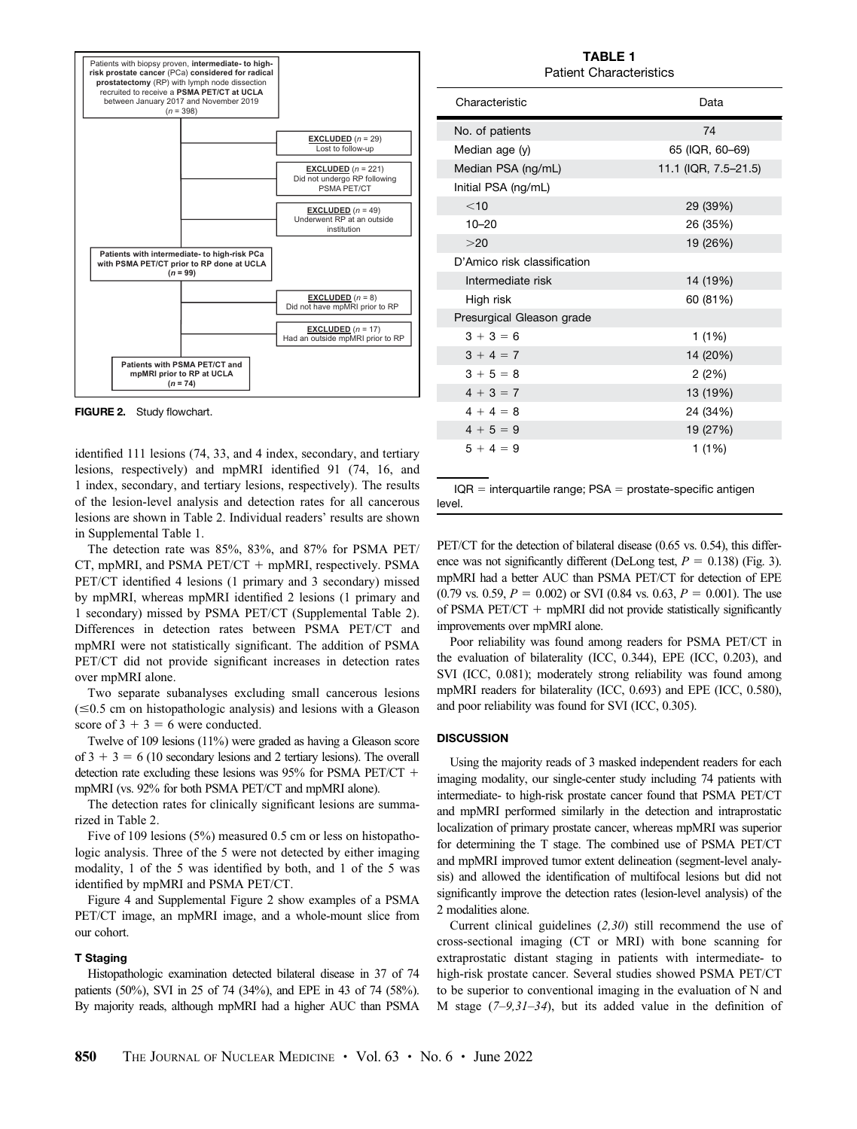<span id="page-3-0"></span>

FIGURE 2. Study flowchart.

identified 111 lesions (74, 33, and 4 index, secondary, and tertiary lesions, respectively) and mpMRI identified 91 (74, 16, and 1 index, secondary, and tertiary lesions, respectively). The results of the lesion-level analysis and detection rates for all cancerous lesions are shown in [Table 2](#page-5-0). Individual readers' results are shown in Supplemental Table 1.

The detection rate was 85%, 83%, and 87% for PSMA PET/ CT, mpMRI, and PSMA  $PET/CT$  + mpMRI, respectively. PSMA PET/CT identified 4 lesions (1 primary and 3 secondary) missed by mpMRI, whereas mpMRI identified 2 lesions (1 primary and 1 secondary) missed by PSMA PET/CT (Supplemental Table 2). Differences in detection rates between PSMA PET/CT and mpMRI were not statistically significant. The addition of PSMA PET/CT did not provide significant increases in detection rates over mpMRI alone.

Two separate subanalyses excluding small cancerous lesions  $(\leq 0.5$  cm on histopathologic analysis) and lesions with a Gleason score of  $3 + 3 = 6$  were conducted.

Twelve of 109 lesions (11%) were graded as having a Gleason score of  $3 + 3 = 6$  (10 secondary lesions and 2 tertiary lesions). The overall detection rate excluding these lesions was  $95\%$  for PSMA PET/CT + mpMRI (vs. 92% for both PSMA PET/CT and mpMRI alone).

The detection rates for clinically significant lesions are summarized in [Table 2](#page-5-0).

Five of 109 lesions (5%) measured 0.5 cm or less on histopathologic analysis. Three of the 5 were not detected by either imaging modality, 1 of the 5 was identified by both, and 1 of the 5 was identified by mpMRI and PSMA PET/CT.

[Figure 4](#page-5-0) and Supplemental Figure 2 show examples of a PSMA PET/CT image, an mpMRI image, and a whole-mount slice from our cohort.

## T Staging

Histopathologic examination detected bilateral disease in 37 of 74 patients (50%), SVI in 25 of 74 (34%), and EPE in 43 of 74 (58%). By majority reads, although mpMRI had a higher AUC than PSMA

TABLE 1 Patient Characteristics

| Characteristic                                                 | Data                 |  |  |  |  |
|----------------------------------------------------------------|----------------------|--|--|--|--|
| No. of patients                                                | 74                   |  |  |  |  |
| Median age (y)                                                 | 65 (IQR, 60-69)      |  |  |  |  |
| Median PSA (ng/mL)                                             | 11.1 (IQR, 7.5-21.5) |  |  |  |  |
| Initial PSA (ng/mL)                                            |                      |  |  |  |  |
| $<$ 10                                                         | 29 (39%)             |  |  |  |  |
| $10 - 20$                                                      | 26 (35%)             |  |  |  |  |
| >20                                                            | 19 (26%)             |  |  |  |  |
| D'Amico risk classification                                    |                      |  |  |  |  |
| Intermediate risk                                              | 14 (19%)             |  |  |  |  |
| High risk                                                      | 60 (81%)             |  |  |  |  |
| Presurgical Gleason grade                                      |                      |  |  |  |  |
| $3 + 3 = 6$                                                    | 1(1%)                |  |  |  |  |
| $3 + 4 = 7$                                                    | 14 (20%)             |  |  |  |  |
| $3 + 5 = 8$                                                    | 2(2%)                |  |  |  |  |
| $4 + 3 = 7$                                                    | 13 (19%)             |  |  |  |  |
| $4 + 4 = 8$                                                    | 24 (34%)             |  |  |  |  |
| $4 + 5 = 9$                                                    | 19 (27%)             |  |  |  |  |
| $5 + 4 = 9$                                                    | 1(1%)                |  |  |  |  |
|                                                                |                      |  |  |  |  |
| $IQR =$ interquartile range; $PSA =$ prostate-specific antigen |                      |  |  |  |  |

level.

PET/CT for the detection of bilateral disease (0.65 vs. 0.54), this difference was not significantly different (DeLong test,  $P = 0.138$ ) [\(Fig. 3](#page-4-0)). mpMRI had a better AUC than PSMA PET/CT for detection of EPE  $(0.79 \text{ vs. } 0.59, P = 0.002)$  or SVI  $(0.84 \text{ vs. } 0.63, P = 0.001)$ . The use of PSMA PET/CT  $+$  mpMRI did not provide statistically significantly improvements over mpMRI alone.

Poor reliability was found among readers for PSMA PET/CT in the evaluation of bilaterality (ICC, 0.344), EPE (ICC, 0.203), and SVI (ICC, 0.081); moderately strong reliability was found among mpMRI readers for bilaterality (ICC, 0.693) and EPE (ICC, 0.580), and poor reliability was found for SVI (ICC, 0.305).

# **DISCUSSION**

Using the majority reads of 3 masked independent readers for each imaging modality, our single-center study including 74 patients with intermediate- to high-risk prostate cancer found that PSMA PET/CT and mpMRI performed similarly in the detection and intraprostatic localization of primary prostate cancer, whereas mpMRI was superior for determining the T stage. The combined use of PSMA PET/CT and mpMRI improved tumor extent delineation (segment-level analysis) and allowed the identification of multifocal lesions but did not significantly improve the detection rates (lesion-level analysis) of the 2 modalities alone.

Current clinical guidelines ([2](#page-6-0),[30](#page-6-0)) still recommend the use of cross-sectional imaging (CT or MRI) with bone scanning for extraprostatic distant staging in patients with intermediate- to high-risk prostate cancer. Several studies showed PSMA PET/CT to be superior to conventional imaging in the evaluation of N and M stage  $(7-9,31-34)$  $(7-9,31-34)$  $(7-9,31-34)$  $(7-9,31-34)$  $(7-9,31-34)$  $(7-9,31-34)$  $(7-9,31-34)$ , but its added value in the definition of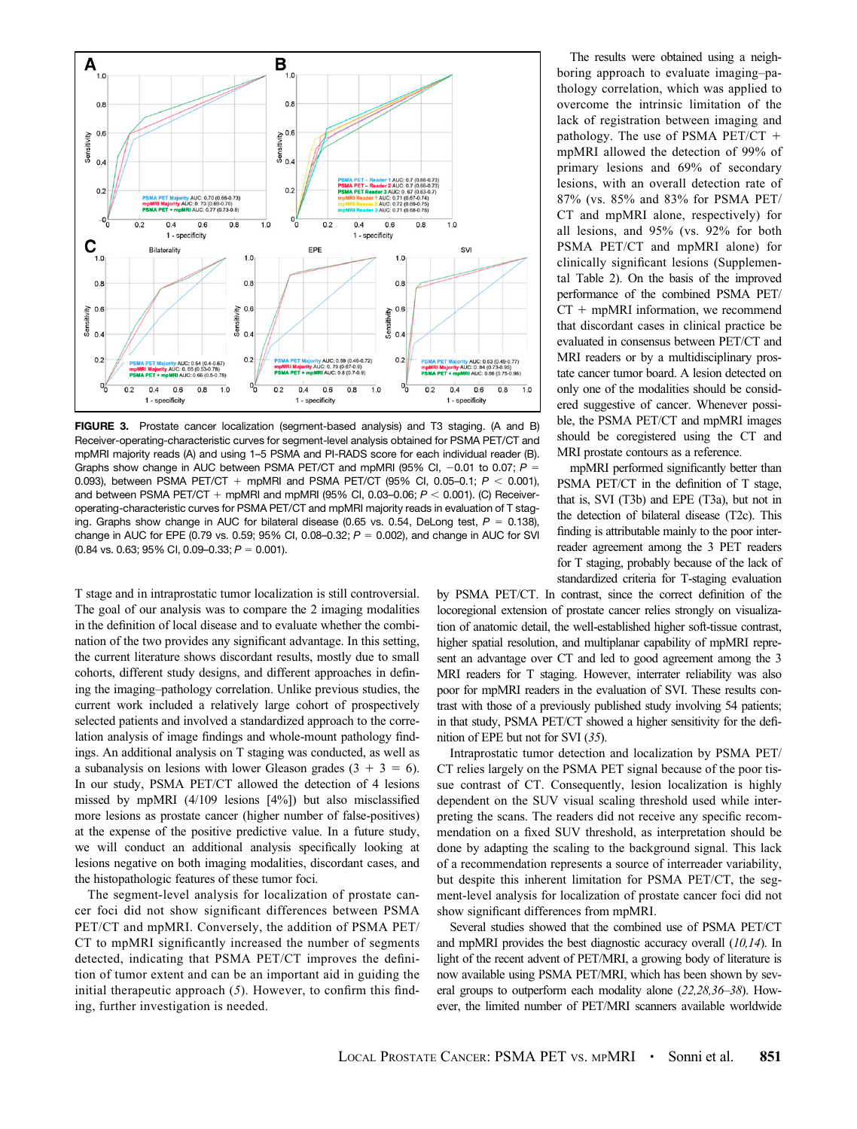<span id="page-4-0"></span>

FIGURE 3. Prostate cancer localization (segment-based analysis) and T3 staging. (A and B) Receiver-operating-characteristic curves for segment-level analysis obtained for PSMA PET/CT and mpMRI majority reads (A) and using 1–5 PSMA and PI-RADS score for each individual reader (B). Graphs show change in AUC between PSMA PET/CT and mpMRI (95% CI,  $-0.01$  to 0.07; P = 0.093), between PSMA PET/CT + mpMRI and PSMA PET/CT (95% CI, 0.05-0.1;  $P < 0.001$ ), and between PSMA PET/CT + mpMRI and mpMRI (95% CI, 0.03-0.06;  $P < 0.001$ ). (C) Receiveroperating-characteristic curves for PSMA PET/CT and mpMRI majority reads in evaluation of T staging. Graphs show change in AUC for bilateral disease (0.65 vs. 0.54, DeLong test,  $P = 0.138$ ), change in AUC for EPE (0.79 vs. 0.59; 95% CI, 0.08–0.32;  $P = 0.002$ ), and change in AUC for SVI  $(0.84 \text{ vs. } 0.63; 95\% \text{ Cl. } 0.09-0.33; P = 0.001).$ 

T stage and in intraprostatic tumor localization is still controversial. The goal of our analysis was to compare the 2 imaging modalities in the definition of local disease and to evaluate whether the combination of the two provides any significant advantage. In this setting, the current literature shows discordant results, mostly due to small cohorts, different study designs, and different approaches in defining the imaging–pathology correlation. Unlike previous studies, the current work included a relatively large cohort of prospectively selected patients and involved a standardized approach to the correlation analysis of image findings and whole-mount pathology findings. An additional analysis on T staging was conducted, as well as a subanalysis on lesions with lower Gleason grades  $(3 + 3 = 6)$ . In our study, PSMA PET/CT allowed the detection of 4 lesions missed by mpMRI (4/109 lesions [4%]) but also misclassified more lesions as prostate cancer (higher number of false-positives) at the expense of the positive predictive value. In a future study, we will conduct an additional analysis specifically looking at lesions negative on both imaging modalities, discordant cases, and the histopathologic features of these tumor foci.

The segment-level analysis for localization of prostate cancer foci did not show significant differences between PSMA PET/CT and mpMRI. Conversely, the addition of PSMA PET/ CT to mpMRI significantly increased the number of segments detected, indicating that PSMA PET/CT improves the definition of tumor extent and can be an important aid in guiding the initial therapeutic approach ([5](#page-6-0)). However, to confirm this finding, further investigation is needed.

The results were obtained using a neighboring approach to evaluate imaging–pathology correlation, which was applied to overcome the intrinsic limitation of the lack of registration between imaging and pathology. The use of PSMA PET/CT  $+$ mpMRI allowed the detection of 99% of primary lesions and 69% of secondary lesions, with an overall detection rate of 87% (vs. 85% and 83% for PSMA PET/ CT and mpMRI alone, respectively) for all lesions, and 95% (vs. 92% for both PSMA PET/CT and mpMRI alone) for clinically significant lesions (Supplemental Table 2). On the basis of the improved performance of the combined PSMA PET/  $CT + mpMRI$  information, we recommend that discordant cases in clinical practice be evaluated in consensus between PET/CT and MRI readers or by a multidisciplinary prostate cancer tumor board. A lesion detected on only one of the modalities should be considered suggestive of cancer. Whenever possible, the PSMA PET/CT and mpMRI images should be coregistered using the CT and MRI prostate contours as a reference.

mpMRI performed significantly better than PSMA PET/CT in the definition of T stage, that is, SVI (T3b) and EPE (T3a), but not in the detection of bilateral disease (T2c). This finding is attributable mainly to the poor interreader agreement among the 3 PET readers for T staging, probably because of the lack of standardized criteria for T-staging evaluation

by PSMA PET/CT. In contrast, since the correct definition of the locoregional extension of prostate cancer relies strongly on visualization of anatomic detail, the well-established higher soft-tissue contrast, higher spatial resolution, and multiplanar capability of mpMRI represent an advantage over CT and led to good agreement among the 3 MRI readers for T staging. However, interrater reliability was also poor for mpMRI readers in the evaluation of SVI. These results contrast with those of a previously published study involving 54 patients; in that study, PSMA PET/CT showed a higher sensitivity for the definition of EPE but not for SVI ([35](#page-7-0)).

Intraprostatic tumor detection and localization by PSMA PET/ CT relies largely on the PSMA PET signal because of the poor tissue contrast of CT. Consequently, lesion localization is highly dependent on the SUV visual scaling threshold used while interpreting the scans. The readers did not receive any specific recommendation on a fixed SUV threshold, as interpretation should be done by adapting the scaling to the background signal. This lack of a recommendation represents a source of interreader variability, but despite this inherent limitation for PSMA PET/CT, the segment-level analysis for localization of prostate cancer foci did not show significant differences from mpMRI.

Several studies showed that the combined use of PSMA PET/CT and mpMRI provides the best diagnostic accuracy overall ([10,14](#page-6-0)). In light of the recent advent of PET/MRI, a growing body of literature is now available using PSMA PET/MRI, which has been shown by several groups to outperform each modality alone ([22,28](#page-6-0)[,36](#page-7-0)[–](#page-7-0)[38](#page-7-0)). However, the limited number of PET/MRI scanners available worldwide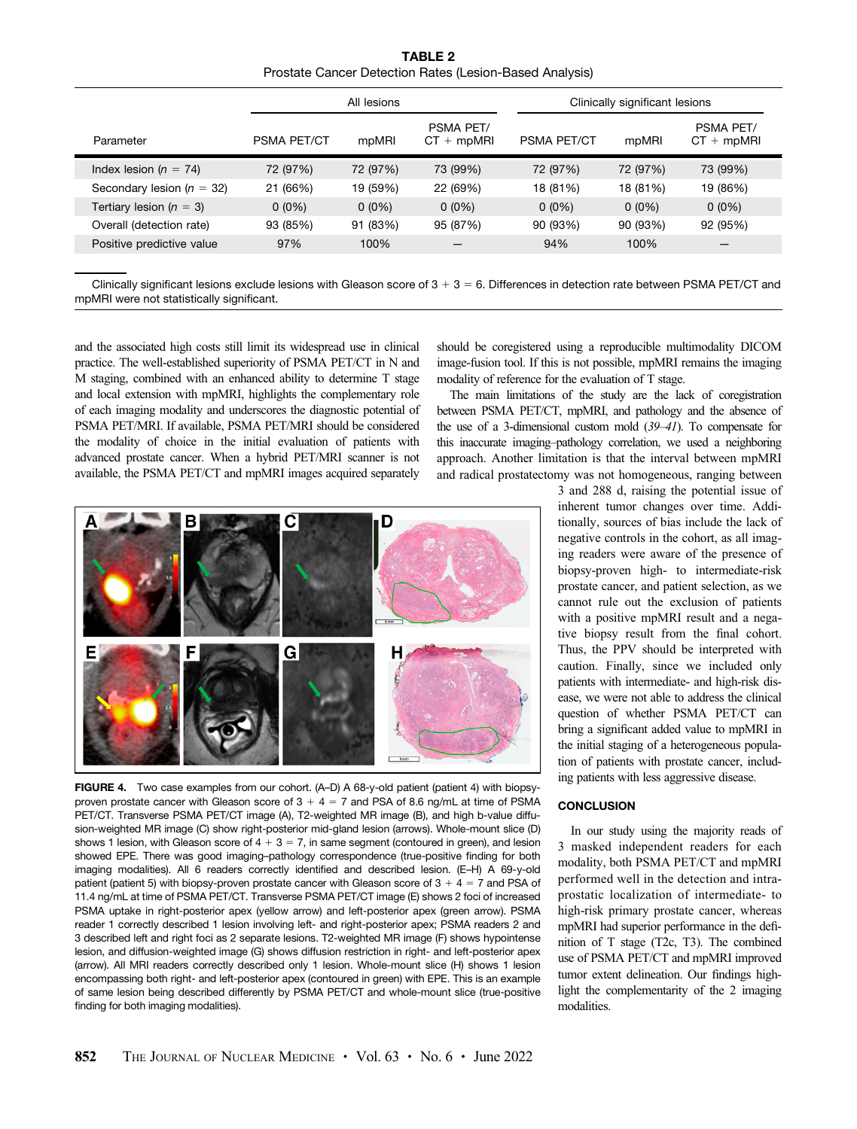TABLE 2 Prostate Cancer Detection Rates (Lesion-Based Analysis)

<span id="page-5-0"></span>

|                               | All lesions        |          |                           | Clinically significant lesions |          |                           |
|-------------------------------|--------------------|----------|---------------------------|--------------------------------|----------|---------------------------|
| Parameter                     | <b>PSMA PET/CT</b> | mpMRI    | PSMA PET/<br>$CT + mpMRI$ | <b>PSMA PET/CT</b>             | mpMRI    | PSMA PET/<br>$CT + mpMRI$ |
| Index lesion ( $n = 74$ )     | 72 (97%)           | 72 (97%) | 73 (99%)                  | 72 (97%)                       | 72 (97%) | 73 (99%)                  |
| Secondary lesion ( $n = 32$ ) | 21 (66%)           | 19 (59%) | 22 (69%)                  | 18 (81%)                       | 18 (81%) | 19 (86%)                  |
| Tertiary lesion ( $n = 3$ )   | $0(0\%)$           | $0(0\%)$ | $0(0\%)$                  | $0(0\%)$                       | $0(0\%)$ | $0(0\%)$                  |
| Overall (detection rate)      | 93 (85%)           | 91 (83%) | 95 (87%)                  | 90 (93%)                       | 90 (93%) | 92 (95%)                  |
| Positive predictive value     | 97%                | 100%     |                           | 94%                            | 100%     |                           |
|                               |                    |          |                           |                                |          |                           |

Clinically significant lesions exclude lesions with Gleason score of  $3 + 3 = 6$ . Differences in detection rate between PSMA PET/CT and mpMRI were not statistically significant.

and the associated high costs still limit its widespread use in clinical practice. The well-established superiority of PSMA PET/CT in N and M staging, combined with an enhanced ability to determine T stage and local extension with mpMRI, highlights the complementary role of each imaging modality and underscores the diagnostic potential of PSMA PET/MRI. If available, PSMA PET/MRI should be considered the modality of choice in the initial evaluation of patients with advanced prostate cancer. When a hybrid PET/MRI scanner is not available, the PSMA PET/CT and mpMRI images acquired separately

should be coregistered using a reproducible multimodality DICOM image-fusion tool. If this is not possible, mpMRI remains the imaging modality of reference for the evaluation of T stage.

The main limitations of the study are the lack of coregistration between PSMA PET/CT, mpMRI, and pathology and the absence of the use of a 3-dimensional custom mold ([39](#page-7-0)[–](#page-7-0)[41](#page-7-0)). To compensate for this inaccurate imaging–pathology correlation, we used a neighboring approach. Another limitation is that the interval between mpMRI and radical prostatectomy was not homogeneous, ranging between



FIGURE 4. Two case examples from our cohort. (A–D) A 68-y-old patient (patient 4) with biopsyproven prostate cancer with Gleason score of  $3 + 4 = 7$  and PSA of 8.6 ng/mL at time of PSMA PET/CT. Transverse PSMA PET/CT image (A), T2-weighted MR image (B), and high b-value diffusion-weighted MR image (C) show right-posterior mid-gland lesion (arrows). Whole-mount slice (D) shows 1 lesion, with Gleason score of  $4 + 3 = 7$ , in same segment (contoured in green), and lesion showed EPE. There was good imaging–pathology correspondence (true-positive finding for both imaging modalities). All 6 readers correctly identified and described lesion. (E–H) A 69-y-old patient (patient 5) with biopsy-proven prostate cancer with Gleason score of  $3 + 4 = 7$  and PSA of 11.4 ng/mL at time of PSMA PET/CT. Transverse PSMA PET/CT image (E) shows 2 foci of increased PSMA uptake in right-posterior apex (yellow arrow) and left-posterior apex (green arrow). PSMA reader 1 correctly described 1 lesion involving left- and right-posterior apex; PSMA readers 2 and 3 described left and right foci as 2 separate lesions. T2-weighted MR image (F) shows hypointense lesion, and diffusion-weighted image (G) shows diffusion restriction in right- and left-posterior apex (arrow). All MRI readers correctly described only 1 lesion. Whole-mount slice (H) shows 1 lesion encompassing both right- and left-posterior apex (contoured in green) with EPE. This is an example of same lesion being described differently by PSMA PET/CT and whole-mount slice (true-positive finding for both imaging modalities).

3 and 288 d, raising the potential issue of inherent tumor changes over time. Additionally, sources of bias include the lack of negative controls in the cohort, as all imaging readers were aware of the presence of biopsy-proven high- to intermediate-risk prostate cancer, and patient selection, as we cannot rule out the exclusion of patients with a positive mpMRI result and a negative biopsy result from the final cohort. Thus, the PPV should be interpreted with caution. Finally, since we included only patients with intermediate- and high-risk disease, we were not able to address the clinical question of whether PSMA PET/CT can bring a significant added value to mpMRI in the initial staging of a heterogeneous population of patients with prostate cancer, including patients with less aggressive disease.

# **CONCLUSION**

In our study using the majority reads of 3 masked independent readers for each modality, both PSMA PET/CT and mpMRI performed well in the detection and intraprostatic localization of intermediate- to high-risk primary prostate cancer, whereas mpMRI had superior performance in the definition of T stage (T2c, T3). The combined use of PSMA PET/CT and mpMRI improved tumor extent delineation. Our findings highlight the complementarity of the 2 imaging modalities.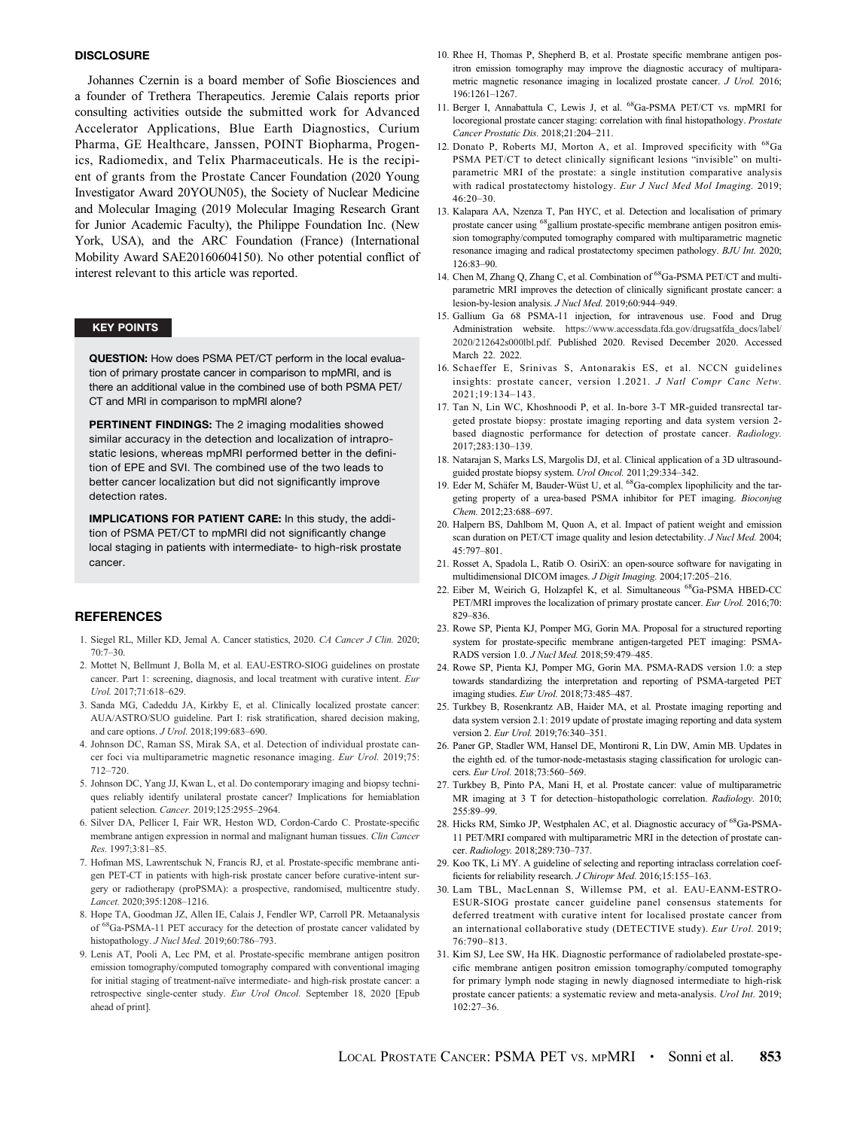## <span id="page-6-0"></span>**DISCLOSURE**

Johannes Czernin is a board member of Sofie Biosciences and a founder of Trethera Therapeutics. Jeremie Calais reports prior consulting activities outside the submitted work for Advanced Accelerator Applications, Blue Earth Diagnostics, Curium Pharma, GE Healthcare, Janssen, POINT Biopharma, Progenics, Radiomedix, and Telix Pharmaceuticals. He is the recipient of grants from the Prostate Cancer Foundation (2020 Young Investigator Award 20YOUN05), the Society of Nuclear Medicine and Molecular Imaging (2019 Molecular Imaging Research Grant for Junior Academic Faculty), the Philippe Foundation Inc. (New York, USA), and the ARC Foundation (France) (International Mobility Award SAE20160604150). No other potential conflict of interest relevant to this article was reported.

## KEY POINTS

QUESTION: How does PSMA PET/CT perform in the local evaluation of primary prostate cancer in comparison to mpMRI, and is there an additional value in the combined use of both PSMA PET/ CT and MRI in comparison to mpMRI alone?

PERTINENT FINDINGS: The 2 imaging modalities showed similar accuracy in the detection and localization of intraprostatic lesions, whereas mpMRI performed better in the definition of EPE and SVI. The combined use of the two leads to better cancer localization but did not significantly improve detection rates.

IMPLICATIONS FOR PATIENT CARE: In this study, the addition of PSMA PET/CT to mpMRI did not significantly change local staging in patients with intermediate- to high-risk prostate cancer.

## **REFERENCES**

- 1. Siegel RL, Miller KD, Jemal A. Cancer statistics, 2020. CA Cancer J Clin. 2020;  $70.7 - 30$
- 2. Mottet N, Bellmunt J, Bolla M, et al. EAU-ESTRO-SIOG guidelines on prostate cancer. Part 1: screening, diagnosis, and local treatment with curative intent. Eur Urol. 2017;71:618–629.
- 3. Sanda MG, Cadeddu JA, Kirkby E, et al. Clinically localized prostate cancer: AUA/ASTRO/SUO guideline. Part I: risk stratification, shared decision making, and care options. J Urol. 2018;199:683–690.
- 4. Johnson DC, Raman SS, Mirak SA, et al. Detection of individual prostate cancer foci via multiparametric magnetic resonance imaging. Eur Urol. 2019;75: 712–720.
- 5. Johnson DC, Yang JJ, Kwan L, et al. Do contemporary imaging and biopsy techniques reliably identify unilateral prostate cancer? Implications for hemiablation patient selection. Cancer. 2019;125:2955–2964.
- 6. Silver DA, Pellicer I, Fair WR, Heston WD, Cordon-Cardo C. Prostate-specific membrane antigen expression in normal and malignant human tissues. Clin Cancer Res. 1997;3:81–85.
- 7. Hofman MS, Lawrentschuk N, Francis RJ, et al. Prostate-specific membrane antigen PET-CT in patients with high-risk prostate cancer before curative-intent surgery or radiotherapy (proPSMA): a prospective, randomised, multicentre study. Lancet. 2020;395:1208–1216.
- 8. Hope TA, Goodman JZ, Allen IE, Calais J, Fendler WP, Carroll PR. Metaanalysis of <sup>68</sup>Ga-PSMA-11 PET accuracy for the detection of prostate cancer validated by histopathology. J Nucl Med. 2019;60:786–793.
- 9. Lenis AT, Pooli A, Lec PM, et al. Prostate-specific membrane antigen positron emission tomography/computed tomography compared with conventional imaging for initial staging of treatment-naïve intermediate- and high-risk prostate cancer: a retrospective single-center study. Eur Urol Oncol. September 18, 2020 [Epub ahead of print].
- 10. Rhee H, Thomas P, Shepherd B, et al. Prostate specific membrane antigen positron emission tomography may improve the diagnostic accuracy of multiparametric magnetic resonance imaging in localized prostate cancer. J Urol. 2016; 196:1261–1267.
- 11. Berger I, Annabattula C, Lewis J, et al. 68Ga-PSMA PET/CT vs. mpMRI for locoregional prostate cancer staging: correlation with final histopathology. Prostate Cancer Prostatic Dis. 2018;21:204–211.
- 12. Donato P, Roberts MJ, Morton A, et al. Improved specificity with <sup>68</sup>Ga PSMA PET/CT to detect clinically significant lesions "invisible" on multiparametric MRI of the prostate: a single institution comparative analysis with radical prostatectomy histology. Eur J Nucl Med Mol Imaging. 2019; 46:20–30.
- 13. Kalapara AA, Nzenza T, Pan HYC, et al. Detection and localisation of primary prostate cancer using 68gallium prostate-specific membrane antigen positron emission tomography/computed tomography compared with multiparametric magnetic resonance imaging and radical prostatectomy specimen pathology. BJU Int. 2020; 126:83–90.
- 14. Chen M, Zhang Q, Zhang C, et al. Combination of <sup>68</sup>Ga-PSMA PET/CT and multiparametric MRI improves the detection of clinically significant prostate cancer: a lesion-by-lesion analysis. J Nucl Med. 2019;60:944–949.
- 15. Gallium Ga 68 PSMA-11 injection, for intravenous use. Food and Drug Administration website. [https://www.accessdata.fda.gov/drugsatfda\\_docs/label/](https://www.accessdata.fda.gov/drugsatfda_docs/label/2020/212642s000lbl.pdf) [2020/212642s000lbl.pdf.](https://www.accessdata.fda.gov/drugsatfda_docs/label/2020/212642s000lbl.pdf) Published 2020. Revised December 2020. Accessed March 22. 2022.
- 16. Schaeffer E, Srinivas S, Antonarakis ES, et al. NCCN guidelines insights: prostate cancer, version 1.2021. J Natl Compr Canc Netw. 2021;19:134–143.
- 17. Tan N, Lin WC, Khoshnoodi P, et al. In-bore 3-T MR-guided transrectal targeted prostate biopsy: prostate imaging reporting and data system version 2 based diagnostic performance for detection of prostate cancer. Radiology. 2017;283:130–139.
- 18. Natarajan S, Marks LS, Margolis DJ, et al. Clinical application of a 3D ultrasoundguided prostate biopsy system. Urol Oncol. 2011;29:334-342.
- 19. Eder M, Schäfer M, Bauder-Wüst U, et al. <sup>68</sup>Ga-complex lipophilicity and the targeting property of a urea-based PSMA inhibitor for PET imaging. Bioconjug Chem. 2012;23:688–697.
- 20. Halpern BS, Dahlbom M, Quon A, et al. Impact of patient weight and emission scan duration on PET/CT image quality and lesion detectability. J Nucl Med. 2004;  $45.797 - 801$
- 21. Rosset A, Spadola L, Ratib O. OsiriX: an open-source software for navigating in multidimensional DICOM images. J Digit Imaging. 2004;17:205–216.
- 22. Eiber M, Weirich G, Holzapfel K, et al. Simultaneous <sup>68</sup>Ga-PSMA HBED-CC PET/MRI improves the localization of primary prostate cancer. Eur Urol. 2016;70: 829–836.
- 23. Rowe SP, Pienta KJ, Pomper MG, Gorin MA. Proposal for a structured reporting system for prostate-specific membrane antigen-targeted PET imaging: PSMA-RADS version 1.0. *J Nucl Med.* 2018;59:479-485.
- 24. Rowe SP, Pienta KJ, Pomper MG, Gorin MA. PSMA-RADS version 1.0: a step towards standardizing the interpretation and reporting of PSMA-targeted PET imaging studies. Eur Urol. 2018;73:485–487.
- 25. Turkbey B, Rosenkrantz AB, Haider MA, et al. Prostate imaging reporting and data system version 2.1: 2019 update of prostate imaging reporting and data system version 2. Eur Urol. 2019;76:340–351.
- 26. Paner GP, Stadler WM, Hansel DE, Montironi R, Lin DW, Amin MB. Updates in the eighth ed. of the tumor-node-metastasis staging classification for urologic cancers. Eur Urol. 2018;73:560–569.
- 27. Turkbey B, Pinto PA, Mani H, et al. Prostate cancer: value of multiparametric MR imaging at 3 T for detection–histopathologic correlation. Radiology. 2010; 255:89–99.
- 28. Hicks RM, Simko JP, Westphalen AC, et al. Diagnostic accuracy of <sup>68</sup>Ga-PSMA-11 PET/MRI compared with multiparametric MRI in the detection of prostate cancer. Radiology. 2018;289:730–737.
- 29. Koo TK, Li MY. A guideline of selecting and reporting intraclass correlation coefficients for reliability research. J Chiropr Med. 2016;15:155–163.
- 30. Lam TBL, MacLennan S, Willemse PM, et al. EAU-EANM-ESTRO-ESUR-SIOG prostate cancer guideline panel consensus statements for deferred treatment with curative intent for localised prostate cancer from an international collaborative study (DETECTIVE study). Eur Urol. 2019; 76:790–813.
- 31. Kim SJ, Lee SW, Ha HK. Diagnostic performance of radiolabeled prostate-specific membrane antigen positron emission tomography/computed tomography for primary lymph node staging in newly diagnosed intermediate to high-risk prostate cancer patients: a systematic review and meta-analysis. Urol Int. 2019; 102:27–36.